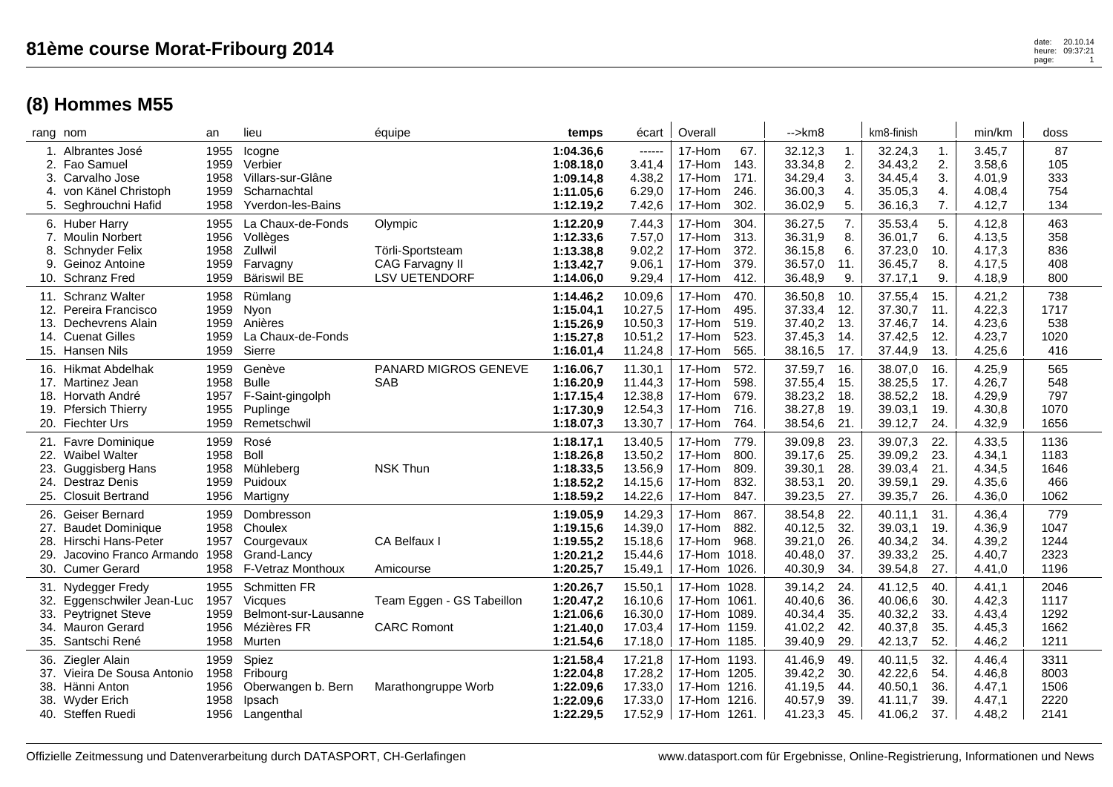|     | 2. Fao Samuel<br>3. Carvalho Jose<br>4. von Känel Christoph<br>5. Seghrouchni Hafid                                      | 1959<br>1958<br>1959<br>1958         | Verbier<br>Villars-sur-Glâne<br>Scharnachtal<br><b>Yverdon-les-Bains</b>               |                                                                        | 1:08.18,0<br>1:09.14,8<br>1:11.05,6<br>1:12.19,2              | 3.41,4<br>4.38,2<br>6.29,0<br>7.42,6                | 17-Hom<br>17-Hom<br>17-Hom<br>17-Hom                                         | 143.<br>171.<br>246.<br>302.         | 33.34,8<br>34.29,4<br>36.00,3<br>36.02,9            | 2.<br>3.<br>4.<br>5.            | 34.43,2<br>34.45,4<br>35.05,3<br>36.16,3            | 2.<br>3.<br>4.<br>7.            | 3.58,6<br>4.01,9<br>4.08,4<br>4.12,7           | 105<br>333<br>754<br>134             |
|-----|--------------------------------------------------------------------------------------------------------------------------|--------------------------------------|----------------------------------------------------------------------------------------|------------------------------------------------------------------------|---------------------------------------------------------------|-----------------------------------------------------|------------------------------------------------------------------------------|--------------------------------------|-----------------------------------------------------|---------------------------------|-----------------------------------------------------|---------------------------------|------------------------------------------------|--------------------------------------|
|     | 6. Huber Harry<br>7. Moulin Norbert<br>8. Schnyder Felix<br>9. Geinoz Antoine<br>10. Schranz Fred                        | 1955<br>1956<br>1958<br>1959<br>1959 | La Chaux-de-Fonds<br>Vollèges<br>Zullwil<br>Farvagny<br><b>Bäriswil BE</b>             | Olympic<br>Törli-Sportsteam<br>CAG Farvagny II<br><b>LSV UETENDORF</b> | 1:12.20,9<br>1:12.33,6<br>1:13.38,8<br>1:13.42,7<br>1:14.06,0 | 7.44,3<br>7.57,0<br>9.02,2<br>9.06,1<br>9.29,4      | 17-Hom<br>17-Hom<br>17-Hom<br>17-Hom<br>17-Hom                               | 304.<br>313.<br>372.<br>379.<br>412. | 36.27,5<br>36.31,9<br>36.15,8<br>36.57,0<br>36.48,9 | 7.<br>8.<br>6.<br>11.<br>9.     | 35.53,4<br>36.01,7<br>37.23,0<br>36.45,7<br>37.17,1 | 5.<br>6.<br>10.<br>8.<br>9.     | 4.12,8<br>4.13,5<br>4.17,3<br>4.17,5<br>4.18,9 | 463<br>358<br>836<br>408<br>800      |
|     | 11. Schranz Walter<br>12. Pereira Francisco<br>13. Dechevrens Alain<br>14. Cuenat Gilles<br>15. Hansen Nils              | 1958<br>1959<br>1959<br>1959<br>1959 | Rümlang<br>Nyon<br>Anières<br>La Chaux-de-Fonds<br>Sierre                              |                                                                        | 1:14.46,2<br>1:15.04,1<br>1:15.26,9<br>1:15.27,8<br>1:16.01,4 | 10.09,6<br>10.27,5<br>10.50,3<br>10.51,2<br>11.24,8 | 17-Hom<br>17-Hom<br>17-Hom<br>17-Hom<br>17-Hom                               | 470.<br>495.<br>519.<br>523.<br>565. | 36.50,8<br>37.33,4<br>37.40,2<br>37.45,3<br>38.16,5 | 10.<br>12.<br>13.<br>14.<br>17. | 37.55,4<br>37.30,7<br>37.46,7<br>37.42,5<br>37.44,9 | 15.<br>11.<br>14.<br>12.<br>13. | 4.21,2<br>4.22,3<br>4.23,6<br>4.23,7<br>4.25,6 | 738<br>1717<br>538<br>1020<br>416    |
|     | 16. Hikmat Abdelhak<br>17. Martinez Jean<br>18. Horvath André<br>19. Pfersich Thierry<br>20. Fiechter Urs                | 1959<br>1958<br>1957<br>1955<br>1959 | Genève<br><b>Bulle</b><br>F-Saint-gingolph<br>Puplinge<br>Remetschwil                  | PANARD MIGROS GENEVE<br><b>SAB</b>                                     | 1:16.06,7<br>1:16.20,9<br>1:17.15,4<br>1:17.30,9<br>1:18.07,3 | 11.30,1<br>11.44,3<br>12.38,8<br>12.54,3<br>13.30,7 | 17-Hom<br>17-Hom<br>17-Hom<br>17-Hom<br>17-Hom                               | 572.<br>598.<br>679.<br>716.<br>764. | 37.59,7<br>37.55,4<br>38.23,2<br>38.27,8<br>38.54,6 | 16.<br>15.<br>18.<br>19.<br>21. | 38.07,0<br>38.25,5<br>38.52,2<br>39.03,1<br>39.12,7 | 16.<br>17.<br>18.<br>19.<br>24. | 4.25,9<br>4.26,7<br>4.29,9<br>4.30,8<br>4.32,9 | 565<br>548<br>797<br>1070<br>1656    |
|     | 21. Favre Dominique<br>22. Waibel Walter<br>23. Guggisberg Hans<br>24. Destraz Denis<br>25. Closuit Bertrand             | 1959<br>1958<br>1958<br>1959<br>1956 | Rosé<br><b>Boll</b><br>Mühleberg<br>Puidoux<br>Martigny                                | <b>NSK Thun</b>                                                        | 1:18.17,1<br>1:18.26,8<br>1:18.33,5<br>1:18.52,2<br>1:18.59,2 | 13.40,5<br>13.50,2<br>13.56,9<br>14.15,6<br>14.22,6 | 17-Hom<br>17-Hom<br>17-Hom<br>17-Hom<br>17-Hom                               | 779.<br>800.<br>809.<br>832.<br>847. | 39.09,8<br>39.17,6<br>39.30,1<br>38.53,1<br>39.23,5 | 23.<br>25.<br>28.<br>20.<br>27. | 39.07,3<br>39.09,2<br>39.03,4<br>39.59,1<br>39.35,7 | 22.<br>23.<br>21.<br>29.<br>26. | 4.33,5<br>4.34,1<br>4.34,5<br>4.35,6<br>4.36,0 | 1136<br>1183<br>1646<br>466<br>1062  |
| 29. | 26. Geiser Bernard<br>27. Baudet Dominique<br>28. Hirschi Hans-Peter<br>Jacovino Franco Armando 1958<br>30. Cumer Gerard | 1959<br>1958<br>1957<br>1958         | Dombresson<br>Choulex<br>Courgevaux<br>Grand-Lancy<br>F-Vetraz Monthoux                | CA Belfaux I<br>Amicourse                                              | 1:19.05,9<br>1:19.15,6<br>1:19.55,2<br>1:20.21,2<br>1:20.25,7 | 14.29,3<br>14.39,0<br>15.18,6<br>15.44,6<br>15.49,1 | 17-Hom<br>17-Hom<br>17-Hom<br>17-Hom 1018.<br>17-Hom 1026.                   | 867.<br>882.<br>968.                 | 38.54,8<br>40.12,5<br>39.21,0<br>40.48,0<br>40.30,9 | 22.<br>32.<br>26.<br>37.<br>34. | 40.11,1<br>39.03,1<br>40.34,2<br>39.33,2<br>39.54,8 | 31.<br>19.<br>34.<br>25.<br>27. | 4.36,4<br>4.36,9<br>4.39,2<br>4.40,7<br>4.41,0 | 779<br>1047<br>1244<br>2323<br>1196  |
|     | 31. Nydegger Fredy<br>32. Eggenschwiler Jean-Luc<br>33. Peytrignet Steve<br>34. Mauron Gerard<br>35. Santschi René       | 1955<br>1957<br>1959<br>1956<br>1958 | <b>Schmitten FR</b><br><b>Vicques</b><br>Belmont-sur-Lausanne<br>Mézières FR<br>Murten | Team Eggen - GS Tabeillon<br><b>CARC Romont</b>                        | 1:20.26,7<br>1:20.47,2<br>1:21.06,6<br>1:21.40,0<br>1:21.54,6 | 15.50,1<br>16.10,6<br>16.30,0<br>17.03,4<br>17.18,0 | 17-Hom 1028.<br>17-Hom 1061.<br>17-Hom 1089.<br>17-Hom 1159.<br>17-Hom 1185. |                                      | 39.14,2<br>40.40,6<br>40.34,4<br>41.02,2<br>39.40,9 | 24.<br>36.<br>35.<br>42.<br>29. | 41.12,5<br>40.06,6<br>40.32,2<br>40.37,8<br>42.13,7 | 40.<br>30.<br>33.<br>35.<br>52. | 4.41.1<br>4.42,3<br>4.43,4<br>4.45,3<br>4.46,2 | 2046<br>1117<br>1292<br>1662<br>1211 |
|     | 36. Ziegler Alain<br>37. Vieira De Sousa Antonio<br>38. Hänni Anton<br>38. Wyder Erich<br>40. Steffen Ruedi              | 1959<br>1958<br>1956<br>1958<br>1956 | Spiez<br>Fribourg<br>Oberwangen b. Bern<br>Ipsach<br>Langenthal                        | Marathongruppe Worb                                                    | 1:21.58,4<br>1:22.04,8<br>1:22.09.6<br>1:22.09,6<br>1:22.29,5 | 17.21,8<br>17.28,2<br>17.33,0<br>17.33,0<br>17.52,9 | 17-Hom 1193.<br>17-Hom 1205.<br>17-Hom 1216.<br>17-Hom 1216.<br>17-Hom       | 1261.                                | 41.46,9<br>39.42,2<br>41.19,5<br>40.57,9<br>41.23,3 | 49.<br>30.<br>44.<br>39.<br>45. | 40.11,5<br>42.22,6<br>40.50,1<br>41.11,7<br>41.06,2 | 32.<br>54.<br>36.<br>39.<br>37. | 4.46,4<br>4.46,8<br>4.47,1<br>4.47,1<br>4.48,2 | 3311<br>8003<br>1506<br>2220<br>2141 |
|     |                                                                                                                          |                                      |                                                                                        |                                                                        |                                                               |                                                     |                                                                              |                                      |                                                     |                                 |                                                     |                                 |                                                |                                      |

rang nom an lieu équipe **temps** écart | Overall | -->km8 | km8-finish | min/km | doss 1. Albrantes José 1955 Icogne **1:04.36,6** ------ 17-Hom 67. 32.12,3 1. 32.24,3 1. 3.45,7 87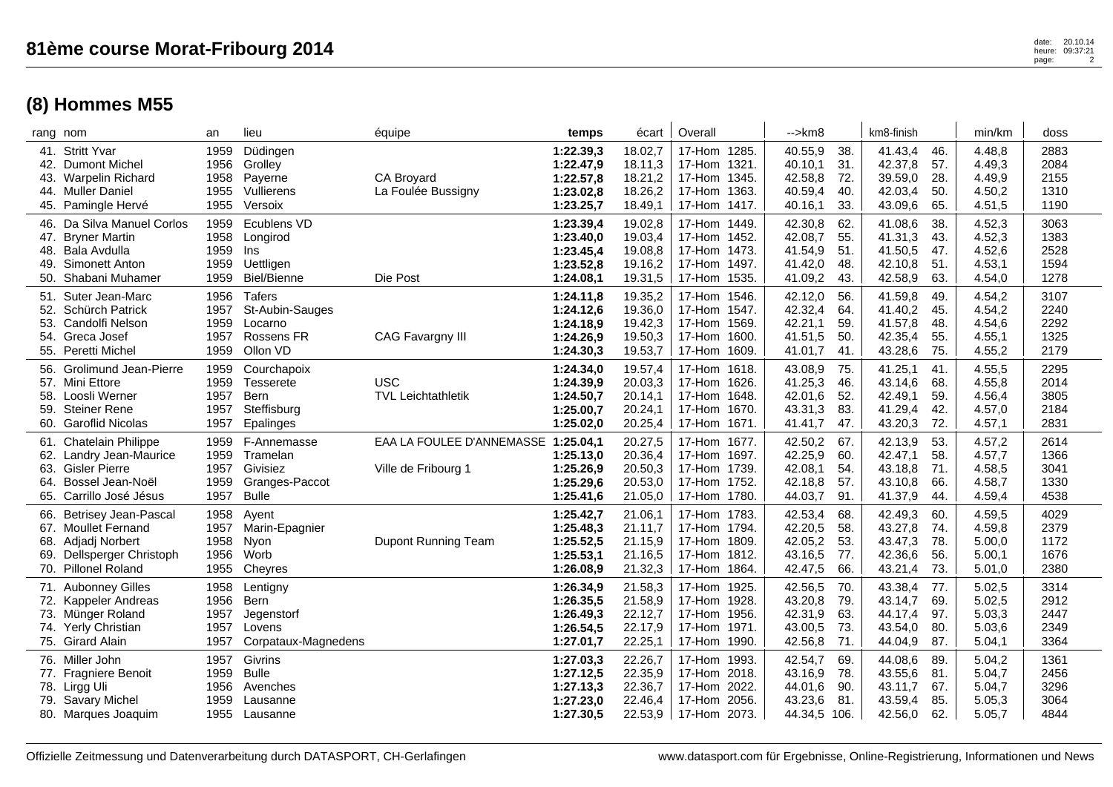| rang nom |                                                                                                                           | an                                   | lieu                                                                   | équipe                                           | temps                                                         | écart                                               | Overall                                                                         | $\rightarrow$ km $\alpha$                                                               | km8-finish                                                                             | min/km                                         | doss                                 |
|----------|---------------------------------------------------------------------------------------------------------------------------|--------------------------------------|------------------------------------------------------------------------|--------------------------------------------------|---------------------------------------------------------------|-----------------------------------------------------|---------------------------------------------------------------------------------|-----------------------------------------------------------------------------------------|----------------------------------------------------------------------------------------|------------------------------------------------|--------------------------------------|
| 42.      | 41. Stritt Yvar<br><b>Dumont Michel</b><br>43. Warpelin Richard<br>44. Muller Daniel<br>45. Pamingle Hervé                | 1959<br>1956<br>1958<br>1955<br>1955 | Düdingen<br>Grolley<br>Payerne<br>Vullierens<br>Versoix                | <b>CA Brovard</b><br>La Foulée Bussigny          | 1:22.39,3<br>1:22.47,9<br>1:22.57,8<br>1:23.02,8<br>1:23.25,7 | 18.02,7<br>18.11,3<br>18.21,2<br>18.26,2<br>18.49,1 | 17-Hom 1285.<br>17-Hom 1321.<br>17-Hom 1345.<br>17-Hom 1363.<br>17-Hom 1417.    | 40.55,9<br>38.<br>40.10,1<br>31.<br>42.58,8<br>72.<br>40.59,4<br>40.<br>40.16,1<br>33.  | 41.43,4<br>46.<br>57.<br>42.37,8<br>39.59,0<br>28.<br>42.03,4<br>50.<br>43.09,6<br>65. | 4.48,8<br>4.49,3<br>4.49,9<br>4.50,2<br>4.51,5 | 2883<br>2084<br>2155<br>1310<br>1190 |
|          | 46. Da Silva Manuel Corlos<br>47. Bryner Martin<br>48. Bala Avdulla<br>49. Simonett Anton<br>50. Shabani Muhamer          | 1959<br>1958<br>1959<br>1959<br>1959 | Ecublens VD<br>Longirod<br>Ins<br>Uettligen<br>Biel/Bienne             | Die Post                                         | 1:23.39,4<br>1:23.40,0<br>1:23.45,4<br>1:23.52,8<br>1:24.08,1 | 19.02,8<br>19.03,4<br>19.08,8<br>19.16,2<br>19.31,5 | 17-Hom 1449.<br>17-Hom 1452.<br>17-Hom 1473.<br>17-Hom 1497.<br>17-Hom 1535.    | 42.30,8<br>62.<br>42.08,7<br>55.<br>41.54,9<br>51.<br>41.42,0<br>48.<br>41.09,2<br>43.  | 38.<br>41.08,6<br>41.31,3<br>43.<br>41.50,5<br>47.<br>42.10,8<br>51.<br>42.58,9<br>63. | 4.52,3<br>4.52,3<br>4.52,6<br>4.53,1<br>4.54,0 | 3063<br>1383<br>2528<br>1594<br>1278 |
|          | 51. Suter Jean-Marc<br>52. Schürch Patrick<br>53. Candolfi Nelson<br>54. Greca Josef<br>55. Peretti Michel                | 1956<br>1957<br>1959<br>1957<br>1959 | <b>Tafers</b><br>St-Aubin-Sauges<br>Locarno<br>Rossens FR<br>Ollon VD  | CAG Favargny III                                 | 1:24.11,8<br>1:24.12,6<br>1:24.18,9<br>1:24.26,9<br>1:24.30,3 | 19.35,2<br>19.36,0<br>19.42,3<br>19.50,3<br>19.53,7 | 17-Hom 1546.<br>17-Hom 1547.<br>17-Hom 1569.<br>17-Hom 1600.<br>17-Hom 1609.    | 42.12,0<br>56.<br>42.32,4<br>64.<br>42.21,1<br>59.<br>41.51,5<br>50.<br>41.01,7<br>41.  | 41.59,8<br>49.<br>41.40,2<br>45.<br>41.57,8<br>48.<br>42.35,4<br>55.<br>43.28,6<br>75. | 4.54,2<br>4.54,2<br>4.54,6<br>4.55,1<br>4.55,2 | 3107<br>2240<br>2292<br>1325<br>2179 |
|          | 56. Grolimund Jean-Pierre<br>57. Mini Ettore<br>58. Loosli Werner<br>59. Steiner Rene<br>60. Garoflid Nicolas             | 1959<br>1959<br>1957<br>1957<br>1957 | Courchapoix<br>Tesserete<br><b>Bern</b><br>Steffisburg<br>Epalinges    | <b>USC</b><br><b>TVL Leichtathletik</b>          | 1:24.34,0<br>1:24.39,9<br>1:24.50,7<br>1:25.00,7<br>1:25.02,0 | 19.57,4<br>20.03.3<br>20.14,1<br>20.24,1<br>20.25,4 | 17-Hom 1618.<br>17-Hom 1626.<br>17-Hom 1648.<br>17-Hom 1670.<br>17-Hom 1671.    | 75.<br>43.08,9<br>41.25,3<br>46.<br>42.01,6<br>52.<br>43.31,3<br>83.<br>41.41,7<br>47.  | 41.25,1<br>41.<br>43.14.6<br>68.<br>42.49,1<br>59.<br>41.29,4<br>42.<br>43.20,3<br>72. | 4.55,5<br>4.55,8<br>4.56,4<br>4.57,0<br>4.57,1 | 2295<br>2014<br>3805<br>2184<br>2831 |
|          | 61. Chatelain Philippe<br>62. Landry Jean-Maurice<br>63. Gisler Pierre<br>64. Bossel Jean-Noël<br>65. Carrillo José Jésus | 1959<br>1959<br>1957<br>1959<br>1957 | F-Annemasse<br>Tramelan<br>Givisiez<br>Granges-Paccot<br><b>Bulle</b>  | EAA LA FOULEE D'ANNEMASSE<br>Ville de Fribourg 1 | 1:25.04,1<br>1:25.13,0<br>1:25.26,9<br>1:25.29,6<br>1:25.41,6 | 20.27,5<br>20.36,4<br>20.50,3<br>20.53,0<br>21.05,0 | 17-Hom 1677.<br>17-Hom 1697.<br>17-Hom 1739.<br>17-Hom 1752.<br>17-Hom 1780.    | 42.50,2<br>67.<br>42.25,9<br>60.<br>42.08,1<br>54.<br>42.18,8<br>57.<br>44.03,7<br>91.  | 42.13,9<br>53.<br>42.47,1<br>58.<br>43.18,8<br>71.<br>43.10,8<br>66.<br>41.37,9<br>44. | 4.57,2<br>4.57,7<br>4.58,5<br>4.58,7<br>4.59,4 | 2614<br>1366<br>3041<br>1330<br>4538 |
|          | 66. Betrisey Jean-Pascal<br>67. Moullet Fernand<br>68. Adjadj Norbert<br>69. Dellsperger Christoph<br>70. Pillonel Roland | 1958<br>1957<br>1958<br>1956<br>1955 | Ayent<br>Marin-Epagnier<br>Nyon<br>Worb<br>Cheyres                     | Dupont Running Team                              | 1:25.42,7<br>1:25.48,3<br>1:25.52,5<br>1:25.53,1<br>1:26.08,9 | 21.06,1<br>21.11,7<br>21.15,9<br>21.16,5<br>21.32,3 | 17-Hom 1783.<br>17-Hom 1794.<br>17-Hom 1809.<br>17-Hom 1812.<br>17-Hom 1864.    | 42.53,4<br>68.<br>42.20,5<br>58.<br>42.05,2<br>53.<br>43.16,5<br>77.<br>66.<br>42.47,5  | 42.49,3<br>60.<br>43.27,8<br>74.<br>43.47,3<br>78.<br>42.36,6<br>56.<br>43.21,4<br>73. | 4.59,5<br>4.59,8<br>5.00,0<br>5.00,1<br>5.01,0 | 4029<br>2379<br>1172<br>1676<br>2380 |
|          | 71. Aubonney Gilles<br>72. Kappeler Andreas<br>73. Münger Roland<br>74. Yerly Christian<br>75. Girard Alain               | 1958<br>1956<br>1957<br>1957<br>1957 | Lentigny<br><b>Bern</b><br>Jegenstorf<br>Lovens<br>Corpataux-Magnedens |                                                  | 1:26.34.9<br>1:26.35,5<br>1:26.49,3<br>1:26.54,5<br>1:27.01,7 | 21.58,3<br>21.58,9<br>22.12,7<br>22.17,9<br>22.25,1 | 17-Hom 1925.<br>17-Hom 1928.<br>17-Hom 1956.<br>17-Hom 1971.<br>17-Hom 1990.    | 42.56,5<br>70.<br>43.20,8<br>79.<br>42.31,9<br>63.<br>43.00,5<br>73.<br>42.56,8<br>71.  | 43.38,4<br>77.<br>69.<br>43.14,7<br>44.17,4<br>97.<br>43.54,0<br>80.<br>87.<br>44.04,9 | 5.02,5<br>5.02,5<br>5.03,3<br>5.03,6<br>5.04,1 | 3314<br>2912<br>2447<br>2349<br>3364 |
|          | 76. Miller John<br>77. Fragniere Benoit<br>78. Lirgg Uli<br>79. Savary Michel<br>80. Marques Joaquim                      | 1957<br>1959<br>1956<br>1959<br>1955 | Givrins<br><b>Bulle</b><br>Avenches<br>Lausanne<br>Lausanne            |                                                  | 1:27.03,3<br>1:27.12,5<br>1:27.13,3<br>1:27.23,0<br>1:27.30,5 | 22.26,7<br>22.35,9<br>22.36,7<br>22.46,4<br>22.53,9 | 17-Hom 1993.<br>17-Hom 2018.<br>17-Hom 2022.<br>2056.<br>17-Hom<br>17-Hom 2073. | 42.54,7<br>69.<br>78.<br>43.16,9<br>44.01,6<br>90.<br>43.23,6<br>81.<br>44.34,5<br>106. | 44.08,6<br>89.<br>43.55,6<br>81.<br>67.<br>43.11,7<br>43.59,4<br>85.<br>42.56,0<br>62. | 5.04,2<br>5.04,7<br>5.04,7<br>5.05,3<br>5.05,7 | 1361<br>2456<br>3296<br>3064<br>4844 |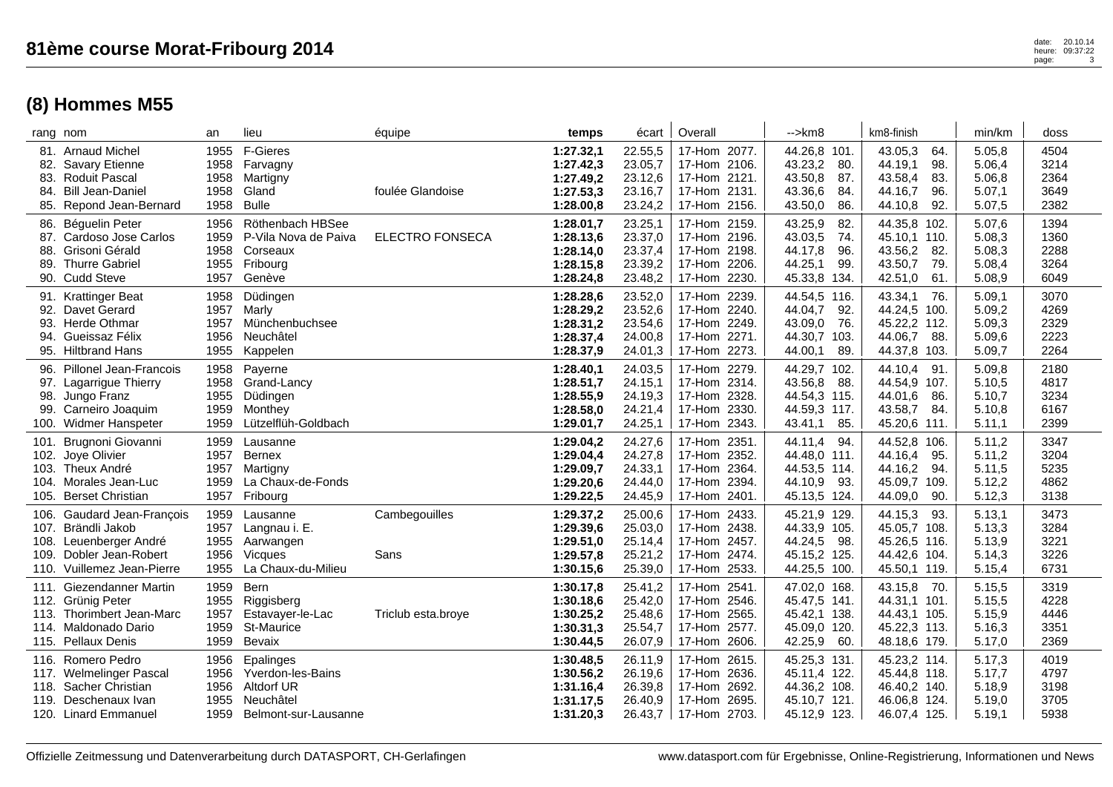|                      | rang nom                                                                                                                  | an                                   | lieu                                                                              | équipe                 | temps                                                         | écart                                               | Overall                                                                               | -->km8                                                                                  | km8-finish                                                                               | min/km                                         | doss                                 |
|----------------------|---------------------------------------------------------------------------------------------------------------------------|--------------------------------------|-----------------------------------------------------------------------------------|------------------------|---------------------------------------------------------------|-----------------------------------------------------|---------------------------------------------------------------------------------------|-----------------------------------------------------------------------------------------|------------------------------------------------------------------------------------------|------------------------------------------------|--------------------------------------|
| 82.<br>84.           | 81. Arnaud Michel<br><b>Savary Etienne</b><br>83. Roduit Pascal<br><b>Bill Jean-Daniel</b><br>85. Repond Jean-Bernard     | 1955<br>1958<br>1958<br>1958<br>1958 | F-Gieres<br>Farvagny<br>Martigny<br>Gland<br><b>Bulle</b>                         | foulée Glandoise       | 1:27.32,1<br>1:27.42,3<br>1:27.49,2<br>1:27.53,3<br>1:28.00,8 | 22.55,5<br>23.05,7<br>23.12,6<br>23.16,7<br>23.24,2 | 17-Hom 2077.<br>17-Hom 2106.<br>17-Hom 2121.<br>17-Hom 2131.<br>17-Hom<br>2156.       | 44.26,8 101.<br>43.23,2<br>80.<br>43.50,8<br>87.<br>43.36,6<br>84.<br>43.50,0<br>86.    | 43.05,3<br>64.<br>44.19,1<br>98.<br>43.58,4<br>83.<br>96.<br>44.16,7<br>44.10,8<br>92.   | 5.05,8<br>5.06,4<br>5.06,8<br>5.07,1<br>5.07,5 | 4504<br>3214<br>2364<br>3649<br>2382 |
| 87.<br>88.<br>89.    | 86. Béguelin Peter<br>Cardoso Jose Carlos<br>Grisoni Gérald<br><b>Thurre Gabriel</b><br>90. Cudd Steve                    | 1956<br>1959<br>1958<br>1955<br>1957 | Röthenbach HBSee<br>P-Vila Nova de Paiva<br>Corseaux<br>Fribourg<br>Genève        | <b>ELECTRO FONSECA</b> | 1:28.01,7<br>1:28.13,6<br>1:28.14,0<br>1:28.15,8<br>1:28.24,8 | 23.25,1<br>23.37,0<br>23.37,4<br>23.39,2<br>23.48,2 | 17-Hom 2159.<br>17-Hom 2196.<br>17-Hom 2198.<br>17-Hom<br>2206.<br>2230.<br>17-Hom    | 43.25,9<br>82.<br>43.03,5<br>74.<br>44.17,8<br>96.<br>44.25,1<br>99.<br>45.33,8<br>134. | 44.35,8 102.<br>45.10,1 110.<br>43.56,2<br>82.<br>43.50,7<br>79.<br>42.51,0<br>61.       | 5.07,6<br>5.08,3<br>5.08,3<br>5.08,4<br>5.08,9 | 1394<br>1360<br>2288<br>3264<br>6049 |
| 94.                  | 91. Krattinger Beat<br>92. Davet Gerard<br>93. Herde Othmar<br>Gueissaz Félix<br>95. Hiltbrand Hans                       | 1958<br>1957<br>1957<br>1956<br>1955 | Düdingen<br>Marly<br>Münchenbuchsee<br>Neuchâtel<br>Kappelen                      |                        | 1:28.28,6<br>1:28.29,2<br>1:28.31,2<br>1:28.37,4<br>1:28.37,9 | 23.52,0<br>23.52,6<br>23.54,6<br>24.00,8<br>24.01,3 | 17-Hom 2239.<br>2240.<br>17-Hom<br>17-Hom 2249.<br>17-Hom 2271.<br>2273.<br>17-Hom    | 44.54,5 116.<br>44.04,7<br>92.<br>43.09,0<br>76.<br>44.30,7 103.<br>44.00,1<br>89.      | 43.34,1<br>76.<br>44.24,5 100.<br>45.22,2 112.<br>44.06,7<br>88.<br>44.37,8<br>103.      | 5.09,1<br>5.09,2<br>5.09,3<br>5.09,6<br>5.09,7 | 3070<br>4269<br>2329<br>2223<br>2264 |
| 98.<br>99.           | 96. Pillonel Jean-Francois<br>97. Lagarrigue Thierry<br>Jungo Franz<br>Carneiro Joaquim<br>100. Widmer Hanspeter          | 1958<br>1958<br>1955<br>1959<br>1959 | Payerne<br>Grand-Lancy<br>Düdingen<br>Monthey<br>Lützelflüh-Goldbach              |                        | 1:28.40,1<br>1:28.51,7<br>1:28.55,9<br>1:28.58,0<br>1:29.01,7 | 24.03,5<br>24.15,1<br>24.19,3<br>24.21,4<br>24.25,1 | 17-Hom 2279.<br>2314.<br>17-Hom<br>17-Hom 2328.<br>17-Hom 2330.<br>2343.<br>17-Hom    | 44.29,7 102.<br>43.56,8<br>88.<br>44.54,3 115.<br>44.59,3 117.<br>85.<br>43.41,1        | 44.10,4<br>91.<br>44.54,9<br>107.<br>44.01,6<br>86.<br>43.58,7<br>84.<br>45.20,6<br>111. | 5.09,8<br>5.10,5<br>5.10,7<br>5.10,8<br>5.11,1 | 2180<br>4817<br>3234<br>6167<br>2399 |
| 101.<br>103.<br>104. | Brugnoni Giovanni<br>102. Joye Olivier<br>Theux André<br>Morales Jean-Luc<br>105. Berset Christian                        | 1959<br>1957<br>1957<br>1959<br>1957 | Lausanne<br><b>Bernex</b><br>Martigny<br>La Chaux-de-Fonds<br>Fribourg            |                        | 1:29.04,2<br>1:29.04,4<br>1:29.09,7<br>1:29.20,6<br>1:29.22,5 | 24.27,6<br>24.27,8<br>24.33,1<br>24.44,0<br>24.45,9 | 2351.<br>17-Hom<br>17-Hom<br>2352.<br>17-Hom 2364.<br>17-Hom 2394.<br>17-Hom 2401.    | 44.11,4<br>94.<br>44.48,0 111.<br>44.53,5 114.<br>44.10,9<br>93.<br>45.13,5 124.        | 44.52,8<br>106.<br>44.16,4<br>95.<br>44.16,2<br>94.<br>45.09,7<br>109.<br>44.09,0<br>90. | 5.11,2<br>5.11,2<br>5.11,5<br>5.12,2<br>5.12,3 | 3347<br>3204<br>5235<br>4862<br>3138 |
| 108.<br>109.         | 106. Gaudard Jean-François<br>107. Brändli Jakob<br>Leuenberger André<br>Dobler Jean-Robert<br>110. Vuillemez Jean-Pierre | 1959<br>1957<br>1955<br>1956<br>1955 | Lausanne<br>Langnau i. E.<br>Aarwangen<br><b>Vicaues</b><br>La Chaux-du-Milieu    | Cambegouilles<br>Sans  | 1:29.37,2<br>1:29.39,6<br>1:29.51,0<br>1:29.57,8<br>1:30.15,6 | 25.00,6<br>25.03,0<br>25.14,4<br>25.21,2<br>25.39,0 | 17-Hom 2433.<br>17-Hom 2438.<br>17-Hom 2457.<br>17-Hom<br>2474.<br>2533.<br>17-Hom    | 45.21,9 129.<br>44.33,9 105.<br>98.<br>44.24,5<br>45.15,2 125.<br>44.25,5 100.          | 44.15,3<br>93.<br>45.05,7 108.<br>45.26,5 116.<br>44.42,6<br>104.<br>45.50,1 119.        | 5.13,1<br>5.13,3<br>5.13,9<br>5.14,3<br>5.15,4 | 3473<br>3284<br>3221<br>3226<br>6731 |
| 114.                 | 111. Giezendanner Martin<br>112. Grünig Peter<br>113. Thorimbert Jean-Marc<br>Maldonado Dario<br>115. Pellaux Denis       | 1959<br>1955<br>1957<br>1959<br>1959 | Bern<br>Riggisberg<br>Estavayer-le-Lac<br>St-Maurice<br>Bevaix                    | Triclub esta.broye     | 1:30.17,8<br>1:30.18,6<br>1:30.25,2<br>1:30.31,3<br>1:30.44,5 | 25.41,2<br>25.42.0<br>25.48,6<br>25.54,7<br>26.07,9 | 17-Hom<br>2541.<br>17-Hom 2546.<br>17-Hom 2565.<br>17-Hom<br>2577.<br>17-Hom 2606.    | 47.02,0 168.<br>45.47,5 141.<br>45.42,1 138.<br>45.09,0 120.<br>42.25,9<br>60.          | 43.15,8<br>70.<br>44.31.1 101.<br>44.43,1 105.<br>45.22,3 113.<br>48.18,6 179.           | 5.15,5<br>5.15,5<br>5.15,9<br>5.16,3<br>5.17,0 | 3319<br>4228<br>4446<br>3351<br>2369 |
| 118.<br>119.         | 116. Romero Pedro<br>117. Welmelinger Pascal<br>Sacher Christian<br>Deschenaux Ivan<br>120. Linard Emmanuel               | 1956<br>1956<br>1956<br>1955<br>1959 | Epalinges<br>Yverdon-les-Bains<br>Altdorf UR<br>Neuchâtel<br>Belmont-sur-Lausanne |                        | 1:30.48,5<br>1:30.56,2<br>1:31.16,4<br>1:31.17,5<br>1:31.20,3 | 26.11,9<br>26.19,6<br>26.39,8<br>26.40,9<br>26.43,7 | 17-Hom<br>2615.<br>17-Hom 2636.<br>2692.<br>17-Hom<br>17-Hom<br>2695.<br>17-Hom 2703. | 45.25,3 131.<br>45.11,4 122.<br>44.36,2 108.<br>45.10,7 121.<br>45.12,9 123.            | 45.23,2 114.<br>45.44,8 118.<br>46.40,2 140.<br>46.06,8<br>124.<br>46.07,4 125.          | 5.17,3<br>5.17,7<br>5.18,9<br>5.19,0<br>5.19,1 | 4019<br>4797<br>3198<br>3705<br>5938 |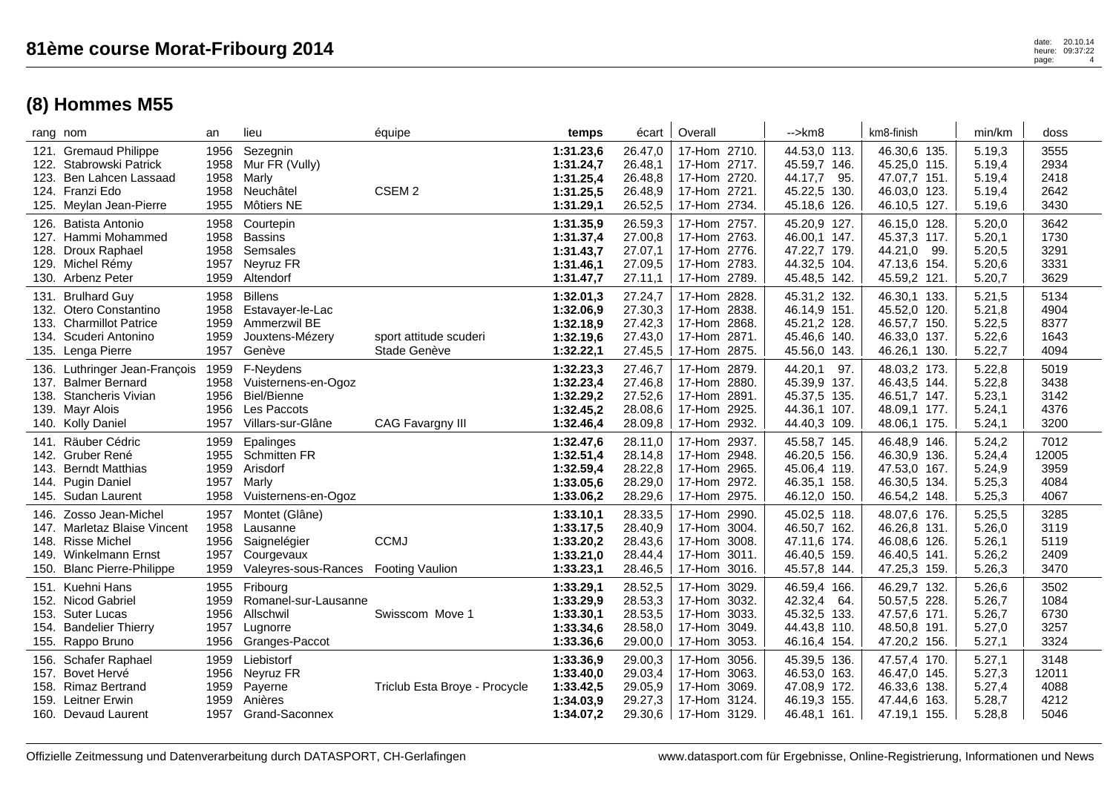|                      | rang nom                                                                                                                   | an                                   | lieu                                                                                             | équipe                                 | temps                                                         | écart                                               | Overall                                                                               | $\rightarrow$ km $\beta$                                                       | km8-finish                                                                      | min/km                                         | doss                                  |
|----------------------|----------------------------------------------------------------------------------------------------------------------------|--------------------------------------|--------------------------------------------------------------------------------------------------|----------------------------------------|---------------------------------------------------------------|-----------------------------------------------------|---------------------------------------------------------------------------------------|--------------------------------------------------------------------------------|---------------------------------------------------------------------------------|------------------------------------------------|---------------------------------------|
| 122.<br>123.         | 121. Gremaud Philippe<br>Stabrowski Patrick<br>Ben Lahcen Lassaad<br>124. Franzi Edo<br>125. Meylan Jean-Pierre            | 1956<br>1958<br>1958<br>1958<br>1955 | Sezegnin<br>Mur FR (Vully)<br>Marly<br>Neuchâtel<br>Môtiers NE                                   | CSEM <sub>2</sub>                      | 1:31.23.6<br>1:31.24,7<br>1:31.25,4<br>1:31.25,5<br>1:31.29,1 | 26.47,0<br>26.48,1<br>26.48,8<br>26.48,9<br>26.52,5 | 17-Hom 2710.<br>17-Hom 2717.<br>17-Hom 2720.<br>17-Hom 2721.<br>2734.<br>17-Hom       | 44.53,0 113.<br>45.59,7 146.<br>44.17,7<br>95.<br>45.22,5 130.<br>45.18,6 126. | 46.30,6 135.<br>45.25,0 115.<br>47.07,7 151.<br>46.03,0 123.<br>46.10,5 127.    | 5.19,3<br>5.19,4<br>5.19,4<br>5.19,4<br>5.19,6 | 3555<br>2934<br>2418<br>2642<br>3430  |
| 126.<br>127.<br>128. | <b>Batista Antonio</b><br>Hammi Mohammed<br>Droux Raphael<br>129. Michel Rémy<br>130. Arbenz Peter                         | 1958<br>1958<br>1958<br>1957<br>1959 | Courtepin<br><b>Bassins</b><br>Semsales<br>Neyruz FR<br>Altendorf                                |                                        | 1:31.35,9<br>1:31.37,4<br>1:31.43,7<br>1:31.46,1<br>1:31.47,7 | 26.59,3<br>27.00,8<br>27.07,1<br>27.09,5<br>27.11,1 | 17-Hom 2757.<br>2763.<br>17-Hom<br>17-Hom 2776.<br>17-Hom 2783.<br>2789.<br>17-Hom    | 45.20,9 127.<br>46.00,1 147.<br>47.22,7 179.<br>44.32,5 104.<br>45.48,5 142.   | 46.15,0 128.<br>45.37,3 117.<br>44.21,0<br>99.<br>47.13,6 154.<br>45.59,2 121.  | 5.20,0<br>5.20,1<br>5.20,5<br>5.20,6<br>5.20,7 | 3642<br>1730<br>3291<br>3331<br>3629  |
|                      | 131. Brulhard Guy<br>132. Otero Constantino<br>133. Charmillot Patrice<br>134. Scuderi Antonino<br>135. Lenga Pierre       | 1958<br>1958<br>1959<br>1959<br>1957 | <b>Billens</b><br>Estavayer-le-Lac<br>Ammerzwil BE<br>Jouxtens-Mézery<br>Genève                  | sport attitude scuderi<br>Stade Genève | 1:32.01,3<br>1:32.06,9<br>1:32.18,9<br>1:32.19,6<br>1:32.22,1 | 27.24,7<br>27.30,3<br>27.42,3<br>27.43,0<br>27.45,5 | 17-Hom 2828.<br>2838.<br>17-Hom<br>2868.<br>17-Hom<br>17-Hom 2871.<br>2875.<br>17-Hom | 45.31,2 132.<br>46.14,9 151.<br>45.21,2 128.<br>45.46,6 140.<br>45.56,0 143.   | 46.30,1 133.<br>45.52,0 120.<br>46.57,7 150.<br>46.33,0 137.<br>46.26,1 130.    | 5.21,5<br>5.21,8<br>5.22,5<br>5.22,6<br>5.22,7 | 5134<br>4904<br>8377<br>1643<br>4094  |
|                      | 136. Luthringer Jean-François<br>137. Balmer Bernard<br>138. Stancheris Vivian<br>139. Mayr Alois<br>140. Kolly Daniel     | 1959<br>1958<br>1956<br>1956<br>1957 | F-Neydens<br>Vuisternens-en-Ogoz<br><b>Biel/Bienne</b><br>Les Paccots<br>Villars-sur-Glâne       | <b>CAG Favargny III</b>                | 1:32.23,3<br>1:32.23,4<br>1:32.29,2<br>1:32.45,2<br>1:32.46,4 | 27.46,7<br>27.46,8<br>27.52,6<br>28.08,6<br>28.09,8 | 17-Hom 2879.<br>2880.<br>17-Hom<br>17-Hom 2891.<br>2925.<br>17-Hom<br>2932.<br>17-Hom | 44.20,1<br>97.<br>45.39,9 137.<br>45.37,5 135.<br>44.36,1 107.<br>44.40,3 109. | 48.03,2 173.<br>46.43,5 144.<br>46.51,7 147.<br>48.09,1 177.<br>48.06,1 175.    | 5.22,8<br>5.22,8<br>5.23,1<br>5.24,1<br>5.24,1 | 5019<br>3438<br>3142<br>4376<br>3200  |
| 141.<br>143.<br>144. | Räuber Cédric<br>142. Gruber René<br><b>Berndt Matthias</b><br><b>Pugin Daniel</b><br>145. Sudan Laurent                   | 1959<br>1955<br>1959<br>1957<br>1958 | Epalinges<br><b>Schmitten FR</b><br>Arisdorf<br>Marly<br>Vuisternens-en-Ogoz                     |                                        | 1:32.47,6<br>1:32.51,4<br>1:32.59,4<br>1:33.05,6<br>1:33.06,2 | 28.11,0<br>28.14,8<br>28.22,8<br>28.29,0<br>28.29,6 | 17-Hom<br>2937.<br>2948.<br>17-Hom<br>17-Hom 2965.<br>2972.<br>17-Hom<br>17-Hom 2975. | 45.58,7 145.<br>46.20,5 156.<br>45.06,4 119.<br>46.35,1 158.<br>46.12,0 150.   | 46.48,9 146.<br>46.30,9 136.<br>47.53,0 167.<br>46.30,5 134.<br>46.54,2 148.    | 5.24,2<br>5.24,4<br>5.24,9<br>5.25,3<br>5.25,3 | 7012<br>12005<br>3959<br>4084<br>4067 |
| 146.<br>148.<br>149. | Zosso Jean-Michel<br>147. Marletaz Blaise Vincent<br><b>Risse Michel</b><br>Winkelmann Ernst<br>150. Blanc Pierre-Philippe | 1957<br>1958<br>1956<br>1957<br>1959 | Montet (Glâne)<br>Lausanne<br>Saignelégier<br>Courgevaux<br>Valeyres-sous-Rances Footing Vaulion | <b>CCMJ</b>                            | 1:33.10,1<br>1:33.17,5<br>1:33.20,2<br>1:33.21,0<br>1:33.23,1 | 28.33,5<br>28.40,9<br>28.43,6<br>28.44,4<br>28.46,5 | 2990.<br>17-Hom<br>17-Hom 3004.<br>17-Hom 3008.<br>3011.<br>17-Hom<br>17-Hom 3016.    | 45.02,5 118.<br>46.50,7 162.<br>47.11,6 174.<br>46.40,5 159.<br>45.57,8 144.   | 48.07,6 176.<br>46.26,8 131.<br>46.08,6 126.<br>46.40,5<br>141.<br>47.25,3 159. | 5.25,5<br>5.26,0<br>5.26,1<br>5.26,2<br>5.26,3 | 3285<br>3119<br>5119<br>2409<br>3470  |
| 151.<br>153.<br>154. | Kuehni Hans<br>152. Nicod Gabriel<br><b>Suter Lucas</b><br><b>Bandelier Thierry</b><br>155. Rappo Bruno                    | 1955<br>1959<br>1956<br>1957<br>1956 | Fribourg<br>Romanel-sur-Lausanne<br>Allschwil<br>Lugnorre<br>Granges-Paccot                      | Swisscom Move 1                        | 1:33.29,1<br>1:33.29,9<br>1:33.30,1<br>1:33.34,6<br>1:33.36,6 | 28.52,5<br>28.53,3<br>28.53,5<br>28.58,0<br>29.00,0 | 3029.<br>17-Hom<br>17-Hom 3032.<br>3033.<br>17-Hom<br>3049.<br>17-Hom<br>17-Hom 3053. | 46.59,4 166.<br>42.32,4<br>64.<br>45.32,5 133.<br>44.43,8 110.<br>46.16,4 154. | 46.29,7 132.<br>50.57,5 228.<br>47.57,6 171.<br>48.50,8 191.<br>47.20,2 156.    | 5.26,6<br>5.26,7<br>5.26,7<br>5.27,0<br>5.27,1 | 3502<br>1084<br>6730<br>3257<br>3324  |
| 156.<br>157.<br>159. | Schafer Raphael<br>Bovet Hervé<br>158. Rimaz Bertrand<br>Leitner Erwin<br>160. Devaud Laurent                              | 1959<br>1956<br>1959<br>1959<br>1957 | Liebistorf<br>Neyruz FR<br>Payerne<br>Anières<br>Grand-Saconnex                                  | Triclub Esta Broye - Procycle          | 1:33.36,9<br>1:33.40,0<br>1:33.42,5<br>1:34.03,9<br>1:34.07,2 | 29.00,3<br>29.03,4<br>29.05,9<br>29.27,3<br>29.30,6 | 3056.<br>17-Hom<br>17-Hom 3063.<br>3069.<br>17-Hom<br>17-Hom<br>3124.<br>17-Hom 3129. | 45.39,5 136.<br>46.53,0 163.<br>47.08,9 172.<br>46.19,3 155.<br>46.48,1 161.   | 47.57,4 170.<br>46.47,0 145.<br>46.33,6 138.<br>47.44,6<br>163.<br>47.19,1 155. | 5.27,1<br>5.27,3<br>5.27,4<br>5.28,7<br>5.28,8 | 3148<br>12011<br>4088<br>4212<br>5046 |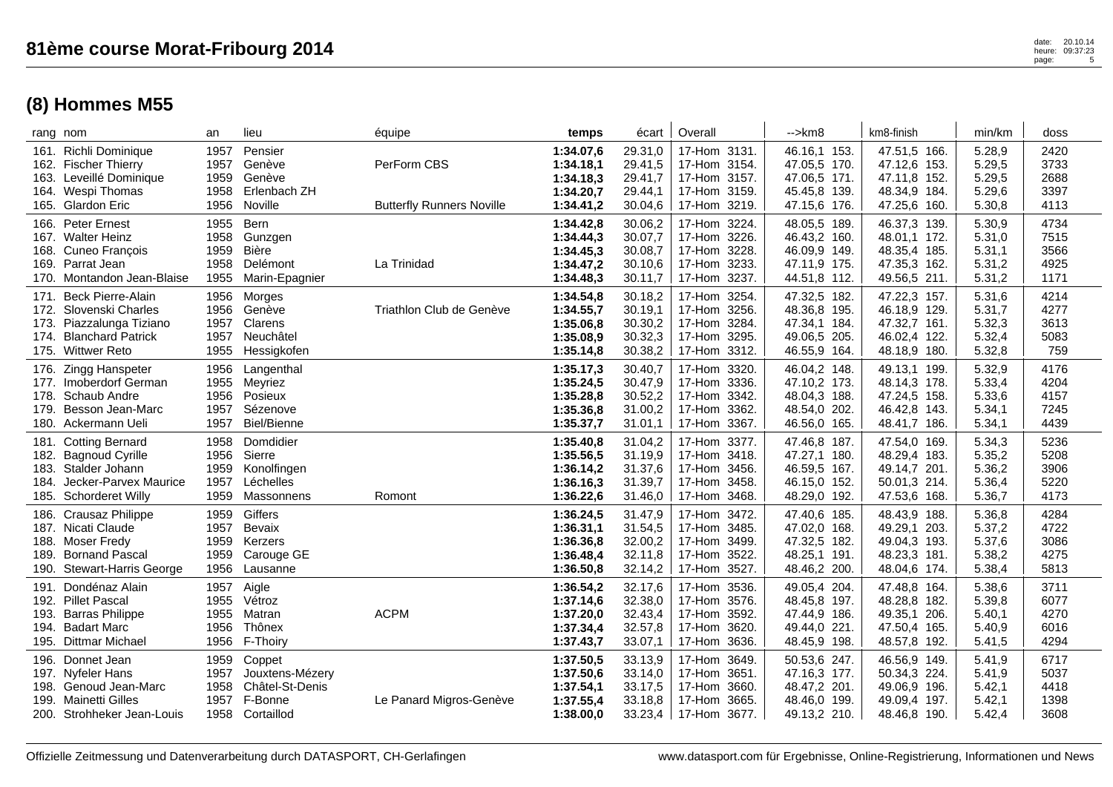|                      | rang nom                                                                                                                      | an                                   | lieu                                                                       | équipe                                          | temps                                                         | écart                                               | Overall                                                                                  | -->km8                                                                       | km8-finish                                                                      | min/km                                         | doss                                 |
|----------------------|-------------------------------------------------------------------------------------------------------------------------------|--------------------------------------|----------------------------------------------------------------------------|-------------------------------------------------|---------------------------------------------------------------|-----------------------------------------------------|------------------------------------------------------------------------------------------|------------------------------------------------------------------------------|---------------------------------------------------------------------------------|------------------------------------------------|--------------------------------------|
|                      | 161. Richli Dominique<br>162. Fischer Thierry<br>163. Leveillé Dominique<br>164. Wespi Thomas<br>165. Glardon Eric            | 1957<br>1957<br>1959<br>1958<br>1956 | Pensier<br>Genève<br>Genève<br>Erlenbach ZH<br>Noville                     | PerForm CBS<br><b>Butterfly Runners Noville</b> | 1:34.07,6<br>1:34.18,1<br>1:34.18,3<br>1:34.20,7<br>1:34.41,2 | 29.31,0<br>29.41,5<br>29.41,7<br>29.44,1<br>30.04,6 | 17-Hom 3131.<br>17-Hom 3154.<br>17-Hom 3157.<br>17-Hom 3159.<br>3219.<br>17-Hom          | 46.16,1 153.<br>47.05.5 170.<br>47.06,5 171.<br>45.45,8 139.<br>47.15,6 176. | 47.51,5 166.<br>47.12,6 153.<br>47.11,8 152.<br>48.34,9 184.<br>47.25,6<br>160. | 5.28,9<br>5.29,5<br>5.29,5<br>5.29,6<br>5.30,8 | 2420<br>3733<br>2688<br>3397<br>4113 |
|                      | 166. Peter Ernest<br>167. Walter Heinz<br>168. Cuneo Francois<br>169. Parrat Jean<br>170. Montandon Jean-Blaise               | 1955<br>1958<br>1959<br>1958<br>1955 | Bern<br>Gunzgen<br><b>Bière</b><br>Delémont<br>Marin-Epagnier              | La Trinidad                                     | 1:34.42,8<br>1:34.44,3<br>1:34.45,3<br>1:34.47,2<br>1:34.48,3 | 30.06,2<br>30.07,7<br>30.08,7<br>30.10,6<br>30.11,7 | 17-Hom 3224.<br>3226.<br>17-Hom<br>17-Hom 3228.<br>3233.<br>17-Hom<br>3237.<br>17-Hom    | 48.05,5 189.<br>46.43,2 160.<br>46.09,9 149.<br>47.11,9 175.<br>44.51,8 112. | 46.37,3 139.<br>48.01,1 172.<br>48.35,4 185.<br>47.35,3 162.<br>49.56,5 211.    | 5.30,9<br>5.31,0<br>5.31,1<br>5.31,2<br>5.31,2 | 4734<br>7515<br>3566<br>4925<br>1171 |
| 174.                 | 171. Beck Pierre-Alain<br>172. Slovenski Charles<br>173. Piazzalunga Tiziano<br><b>Blanchard Patrick</b><br>175. Wittwer Reto | 1956<br>1956<br>1957<br>1957<br>1955 | Morges<br>Genève<br>Clarens<br>Neuchâtel<br>Hessigkofen                    | Triathlon Club de Genève                        | 1:34.54,8<br>1:34.55,7<br>1:35.06,8<br>1:35.08,9<br>1:35.14,8 | 30.18,2<br>30.19,1<br>30.30,2<br>30.32,3<br>30.38,2 | 17-Hom 3254.<br>3256.<br>17-Hom<br>3284.<br>17-Hom<br>17-Hom 3295.<br>3312.<br>17-Hom    | 47.32,5 182.<br>48.36,8 195.<br>47.34,1 184.<br>49.06,5 205.<br>46.55,9 164. | 47.22,3 157.<br>46.18,9 129.<br>47.32,7 161.<br>46.02,4 122.<br>48.18,9<br>180. | 5.31,6<br>5.31,7<br>5.32,3<br>5.32,4<br>5.32,8 | 4214<br>4277<br>3613<br>5083<br>759  |
| 179.                 | 176. Zingg Hanspeter<br>177. Imoberdorf German<br>178. Schaub Andre<br>Besson Jean-Marc<br>180. Ackermann Ueli                | 1956<br>1955<br>1956<br>1957<br>1957 | Langenthal<br>Meyriez<br>Posieux<br>Sézenove<br>Biel/Bienne                |                                                 | 1:35.17,3<br>1:35.24,5<br>1:35.28,8<br>1:35.36,8<br>1:35.37,7 | 30.40,7<br>30.47,9<br>30.52,2<br>31.00,2<br>31.01,1 | 17-Hom 3320.<br>3336.<br>17-Hom<br>3342.<br>17-Hom<br>3362.<br>17-Hom<br>3367.<br>17-Hom | 46.04,2 148.<br>47.10,2 173.<br>48.04,3 188.<br>48.54,0 202.<br>46.56,0 165. | 49.13,1 199.<br>48.14,3 178.<br>47.24,5 158.<br>46.42,8<br>143.<br>48.41,7 186. | 5.32,9<br>5.33,4<br>5.33,6<br>5.34,1<br>5.34,1 | 4176<br>4204<br>4157<br>7245<br>4439 |
| 184.                 | 181. Cotting Bernard<br>182. Bagnoud Cyrille<br>183. Stalder Johann<br>Jecker-Parvex Maurice<br>185. Schorderet Willy         | 1958<br>1956<br>1959<br>1957<br>1959 | Domdidier<br>Sierre<br>Konolfingen<br>Léchelles<br>Massonnens              | Romont                                          | 1:35.40,8<br>1:35.56,5<br>1:36.14,2<br>1:36.16,3<br>1:36.22,6 | 31.04,2<br>31.19.9<br>31.37,6<br>31.39,7<br>31.46,0 | 3377.<br>17-Hom<br>17-Hom 3418.<br>17-Hom 3456.<br>17-Hom<br>3458.<br>17-Hom 3468.       | 47.46,8 187.<br>47.27,1 180.<br>46.59,5 167.<br>46.15,0 152.<br>48.29,0 192. | 47.54,0 169.<br>48.29,4 183.<br>49.14,7 201.<br>50.01,3 214.<br>47.53,6 168.    | 5.34,3<br>5.35,2<br>5.36,2<br>5.36,4<br>5.36,7 | 5236<br>5208<br>3906<br>5220<br>4173 |
| 189.                 | 186. Crausaz Philippe<br>187. Nicati Claude<br>188. Moser Fredy<br><b>Bornand Pascal</b><br>190. Stewart-Harris George        | 1959<br>1957<br>1959<br>1959<br>1956 | Giffers<br>Bevaix<br>Kerzers<br>Carouge GE<br>Lausanne                     |                                                 | 1:36.24,5<br>1:36.31,1<br>1:36.36,8<br>1:36.48,4<br>1:36.50,8 | 31.47,9<br>31.54,5<br>32.00,2<br>32.11,8<br>32.14,2 | 17-Hom<br>3472.<br>17-Hom 3485.<br>17-Hom<br>3499.<br>3522.<br>17-Hom<br>17-Hom 3527.    | 47.40,6 185.<br>47.02,0 168.<br>47.32,5 182.<br>48.25,1 191.<br>48.46,2 200. | 48.43,9 188.<br>49.29,1 203.<br>49.04,3 193.<br>48.23,3<br>181.<br>48.04,6 174. | 5.36,8<br>5.37,2<br>5.37,6<br>5.38,2<br>5.38,4 | 4284<br>4722<br>3086<br>4275<br>5813 |
| 191.<br>193.<br>194. | Dondénaz Alain<br>192. Pillet Pascal<br><b>Barras Philippe</b><br><b>Badart Marc</b><br>195. Dittmar Michael                  | 1957<br>1955<br>1955<br>1956<br>1956 | Aigle<br>Vétroz<br>Matran<br>Thônex<br>F-Thoiry                            | <b>ACPM</b>                                     | 1:36.54,2<br>1:37.14,6<br>1:37.20,0<br>1:37.34,4<br>1:37.43,7 | 32.17,6<br>32.38,0<br>32.43,4<br>32.57,8<br>33.07,1 | 3536.<br>17-Hom<br>17-Hom 3576.<br>3592.<br>17-Hom<br>3620.<br>17-Hom<br>17-Hom 3636.    | 49.05,4 204.<br>48.45,8 197.<br>47.44,9 186.<br>49.44,0 221.<br>48.45,9 198. | 47.48,8 164.<br>48.28,8 182.<br>49.35,1 206.<br>47.50,4 165.<br>48.57,8 192.    | 5.38,6<br>5.39,8<br>5.40,1<br>5.40,9<br>5.41,5 | 3711<br>6077<br>4270<br>6016<br>4294 |
| 199.                 | 196. Donnet Jean<br>197. Nyfeler Hans<br>198. Genoud Jean-Marc<br><b>Mainetti Gilles</b><br>200. Strohheker Jean-Louis        | 1959<br>1957<br>1958<br>1957         | Coppet<br>Jouxtens-Mézery<br>Châtel-St-Denis<br>F-Bonne<br>1958 Cortaillod | Le Panard Migros-Genève                         | 1:37.50,5<br>1:37.50,6<br>1:37.54,1<br>1:37.55,4<br>1:38.00,0 | 33.13,9<br>33.14,0<br>33.17,5<br>33.18,8<br>33.23,4 | 3649.<br>17-Hom<br>17-Hom 3651.<br>17-Hom<br>3660.<br>3665.<br>17-Hom<br>  17-Hom 3677.  | 50.53,6 247.<br>47.16,3 177.<br>48.47,2 201.<br>48.46,0 199.<br>49.13,2 210. | 46.56.9 149.<br>50.34,3 224.<br>49.06,9 196.<br>49.09,4<br>197.<br>48.46,8 190. | 5.41,9<br>5.41,9<br>5.42,1<br>5.42,1<br>5.42,4 | 6717<br>5037<br>4418<br>1398<br>3608 |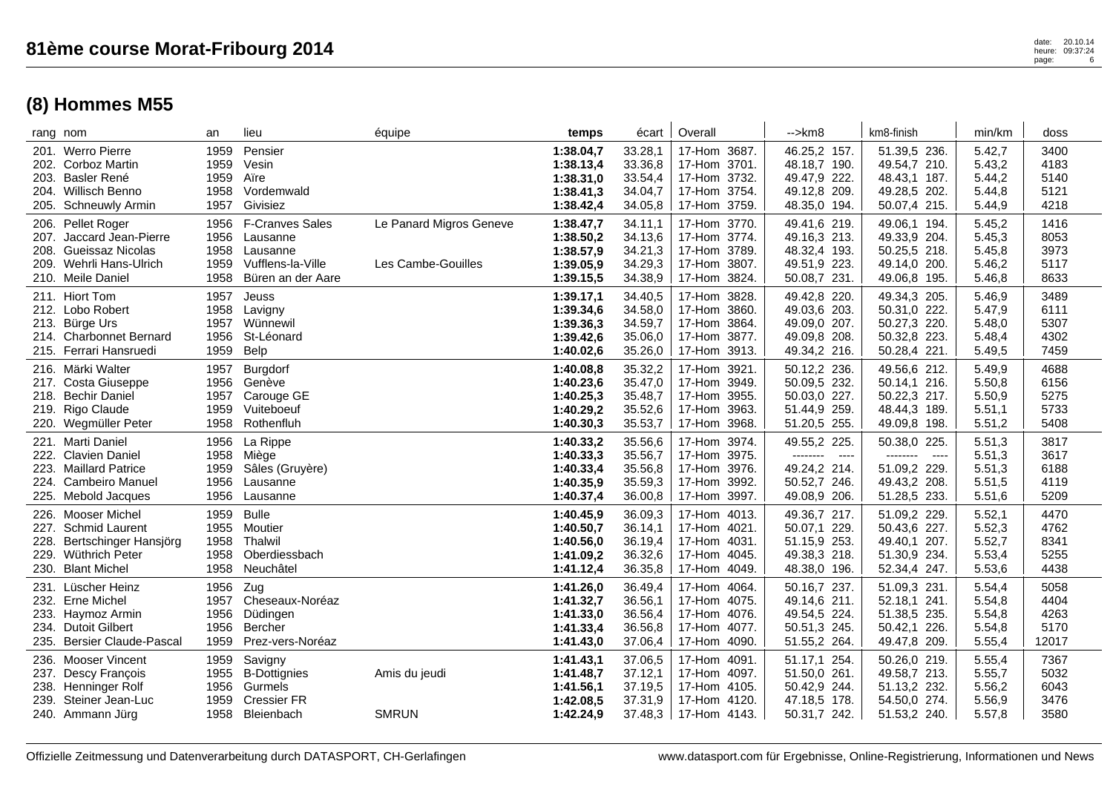|              | rang nom                                                                                                          | an                                   | lieu                                                                                     | équipe                                        | temps                                                         | écart                                               | Overall                                                                                     | -->km8                                                                                           | km8-finish                                                                                       | min/km                                         | doss                                  |
|--------------|-------------------------------------------------------------------------------------------------------------------|--------------------------------------|------------------------------------------------------------------------------------------|-----------------------------------------------|---------------------------------------------------------------|-----------------------------------------------------|---------------------------------------------------------------------------------------------|--------------------------------------------------------------------------------------------------|--------------------------------------------------------------------------------------------------|------------------------------------------------|---------------------------------------|
|              | 201. Werro Pierre<br>202. Corboz Martin<br>203. Basler René<br>204. Willisch Benno<br>205. Schneuwly Armin        | 1959<br>1959<br>1959<br>1958<br>1957 | Pensier<br>Vesin<br>Aïre<br>Vordemwald<br>Givisiez                                       |                                               | 1:38.04,7<br>1:38.13,4<br>1:38.31,0<br>1:38.41,3<br>1:38.42,4 | 33.28,1<br>33.36,8<br>33.54,4<br>34.04,7<br>34.05,8 | 17-Hom 3687.<br>17-Hom 3701.<br>17-Hom 3732.<br>17-Hom 3754.<br>3759.<br>17-Hom             | 46.25,2 157.<br>48.18,7 190.<br>49.47,9 222.<br>49.12,8 209.<br>48.35,0 194.                     | 51.39,5 236.<br>49.54,7 210.<br>48.43,1 187.<br>49.28,5 202.<br>50.07,4 215.                     | 5.42,7<br>5.43,2<br>5.44,2<br>5.44,8<br>5.44,9 | 3400<br>4183<br>5140<br>5121<br>4218  |
| 207.         | 206. Pellet Roger<br>Jaccard Jean-Pierre<br>208. Gueissaz Nicolas<br>209. Wehrli Hans-Ulrich<br>210. Meile Daniel | 1956<br>1956<br>1958<br>1959<br>1958 | <b>F-Cranves Sales</b><br>Lausanne<br>Lausanne<br>Vufflens-la-Ville<br>Büren an der Aare | Le Panard Migros Geneve<br>Les Cambe-Gouilles | 1:38.47,7<br>1:38.50,2<br>1:38.57,9<br>1:39.05,9<br>1:39.15,5 | 34.11,1<br>34.13,6<br>34.21,3<br>34.29,3<br>34.38,9 | 17-Hom 3770.<br>17-Hom 3774.<br>17-Hom 3789.<br>3807.<br>17-Hom<br>3824.<br>17-Hom          | 49.41,6 219.<br>49.16,3 213.<br>48.32,4 193.<br>49.51,9 223.<br>50.08,7 231.                     | 49.06,1 194.<br>49.33,9 204.<br>50.25,5 218.<br>49.14,0 200.<br>49.06,8 195.                     | 5.45,2<br>5.45,3<br>5.45,8<br>5.46,2<br>5.46,8 | 1416<br>8053<br>3973<br>5117<br>8633  |
|              | 211. Hiort Tom<br>212. Lobo Robert<br>213. Bürge Urs<br>214. Charbonnet Bernard<br>215. Ferrari Hansruedi         | 1957<br>1958<br>1957<br>1956<br>1959 | Jeuss<br>Lavigny<br>Wünnewil<br>St-Léonard<br>Belp                                       |                                               | 1:39.17,1<br>1:39.34,6<br>1:39.36,3<br>1:39.42,6<br>1:40.02,6 | 34.40,5<br>34.58,0<br>34.59,7<br>35.06,0<br>35.26,0 | 17-Hom<br>3828.<br>3860.<br>17-Hom<br>3864.<br>17-Hom<br>17-Hom<br>3877.<br>3913.<br>17-Hom | 49.42,8 220.<br>49.03,6 203.<br>49.09,0 207.<br>49.09,8 208.<br>49.34,2 216.                     | 49.34,3 205.<br>50.31,0 222.<br>50.27,3 220.<br>50.32,8 223.<br>50.28,4 221.                     | 5.46,9<br>5.47,9<br>5.48,0<br>5.48,4<br>5.49,5 | 3489<br>6111<br>5307<br>4302<br>7459  |
|              | 216. Märki Walter<br>217. Costa Giuseppe<br>218. Bechir Daniel<br>219. Rigo Claude<br>220. Wegmüller Peter        | 1957<br>1956<br>1957<br>1959<br>1958 | Burgdorf<br>Genève<br>Carouge GE<br>Vuiteboeuf<br>Rothenfluh                             |                                               | 1:40.08,8<br>1:40.23,6<br>1:40.25,3<br>1:40.29,2<br>1:40.30,3 | 35.32,2<br>35.47,0<br>35.48,7<br>35.52,6<br>35.53,7 | 3921.<br>17-Hom<br>17-Hom<br>3949.<br>17-Hom<br>3955.<br>3963.<br>17-Hom<br>17-Hom<br>3968. | 50.12,2 236.<br>50.09,5 232.<br>50.03,0 227.<br>51.44,9 259.<br>51.20,5 255.                     | 49.56,6 212.<br>50.14,1 216.<br>50.22,3 217.<br>48.44,3 189.<br>49.09,8 198.                     | 5.49,9<br>5.50,8<br>5.50,9<br>5.51,1<br>5.51,2 | 4688<br>6156<br>5275<br>5733<br>5408  |
|              | 221. Marti Daniel<br>222. Clavien Daniel<br>223. Maillard Patrice<br>224. Cambeiro Manuel<br>225. Mebold Jacques  | 1956<br>1958<br>1959<br>1956<br>1956 | La Rippe<br>Miège<br>Sâles (Gruyère)<br>Lausanne<br>Lausanne                             |                                               | 1:40.33,2<br>1:40.33,3<br>1:40.33,4<br>1:40.35,9<br>1:40.37,4 | 35.56,6<br>35.56,7<br>35.56,8<br>35.59,3<br>36.00,8 | 3974.<br>17-Hom<br>3975.<br>17-Hom<br>3976.<br>17-Hom<br>17-Hom<br>3992.<br>17-Hom<br>3997. | 49.55,2 225.<br>--------<br>$\sim$ $\sim$ $\sim$<br>49.24,2 214.<br>50.52,7 246.<br>49.08,9 206. | 50.38,0 225.<br>--------<br>$\sim$ $\sim$ $\sim$<br>51.09,2 229.<br>49.43,2 208.<br>51.28,5 233. | 5.51,3<br>5.51,3<br>5.51,3<br>5.51,5<br>5.51,6 | 3817<br>3617<br>6188<br>4119<br>5209  |
| 226.<br>228. | Mooser Michel<br>227. Schmid Laurent<br>Bertschinger Hansjörg<br>229. Wüthrich Peter<br>230. Blant Michel         | 1959<br>1955<br>1958<br>1958<br>1958 | <b>Bulle</b><br>Moutier<br>Thalwil<br>Oberdiessbach<br>Neuchâtel                         |                                               | 1:40.45,9<br>1:40.50,7<br>1:40.56.0<br>1:41.09,2<br>1:41.12,4 | 36.09,3<br>36.14,1<br>36.19,4<br>36.32,6<br>36.35,8 | 17-Hom<br>4013.<br>17-Hom 4021.<br>4031.<br>17-Hom<br>17-Hom<br>4045.<br>17-Hom 4049.       | 49.36,7 217.<br>50.07,1 229.<br>51.15,9 253.<br>49.38,3 218.<br>48.38,0 196.                     | 51.09,2 229.<br>50.43,6 227.<br>49.40.1 207.<br>51.30,9 234.<br>52.34,4 247.                     | 5.52,1<br>5.52,3<br>5.52,7<br>5.53,4<br>5.53,6 | 4470<br>4762<br>8341<br>5255<br>4438  |
| 231.<br>234. | Lüscher Heinz<br>232. Erne Michel<br>233. Haymoz Armin<br><b>Dutoit Gilbert</b><br>235. Bersier Claude-Pascal     | 1956<br>1957<br>1956<br>1956<br>1959 | Zug<br>Cheseaux-Noréaz<br>Düdingen<br><b>Bercher</b><br>Prez-vers-Noréaz                 |                                               | 1:41.26,0<br>1:41.32,7<br>1:41.33,0<br>1:41.33,4<br>1:41.43,0 | 36.49,4<br>36.56,1<br>36.56,4<br>36.56,8<br>37.06,4 | 17-Hom<br>4064.<br>17-Hom 4075.<br>17-Hom 4076.<br>17-Hom<br>4077.<br>17-Hom 4090.          | 50.16,7 237.<br>49.14,6 211.<br>49.54,5 224.<br>50.51,3 245.<br>51.55,2 264.                     | 51.09,3 231.<br>52.18,1 241.<br>51.38,5 235.<br>50.42,1<br>226.<br>49.47,8 209.                  | 5.54,4<br>5.54,8<br>5.54,8<br>5.54,8<br>5.55,4 | 5058<br>4404<br>4263<br>5170<br>12017 |
| 239.         | 236. Mooser Vincent<br>237. Descy François<br>238. Henninger Rolf<br>Steiner Jean-Luc<br>240. Ammann Jürg         | 1959<br>1955<br>1956<br>1959<br>1958 | Savigny<br><b>B-Dottignies</b><br>Gurmels<br><b>Cressier FR</b><br>Bleienbach            | Amis du jeudi<br><b>SMRUN</b>                 | 1:41.43,1<br>1:41.48,7<br>1:41.56,1<br>1:42.08,5<br>1:42.24,9 | 37.06,5<br>37.12,1<br>37.19,5<br>37.31,9<br>37.48,3 | 4091.<br>17-Hom<br>17-Hom 4097.<br>17-Hom 4105.<br>17-Hom 4120.<br>17-Hom 4143.             | 51.17,1 254.<br>51.50,0 261.<br>50.42,9 244.<br>47.18,5 178.<br>50.31,7 242.                     | 50.26,0 219.<br>49.58,7 213.<br>51.13,2 232.<br>54.50,0 274.<br>51.53,2 240.                     | 5.55,4<br>5.55,7<br>5.56,2<br>5.56,9<br>5.57,8 | 7367<br>5032<br>6043<br>3476<br>3580  |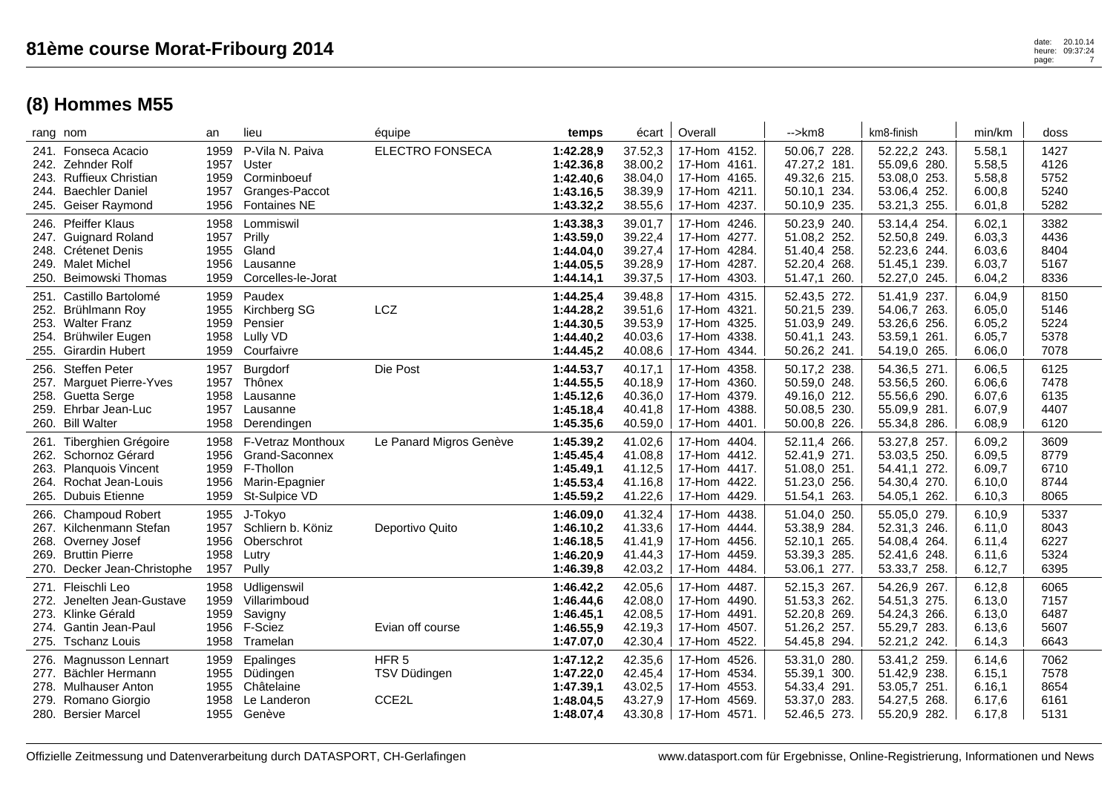| rang nom                                                                                                                    | an                                   | lieu                                                                                | équipe                                                 | temps                                                         | écart                                               | Overall                                                                         | $\rightarrow$ km $\beta$                                                              | km8-finish                                                                   | min/km                                         | doss                                 |
|-----------------------------------------------------------------------------------------------------------------------------|--------------------------------------|-------------------------------------------------------------------------------------|--------------------------------------------------------|---------------------------------------------------------------|-----------------------------------------------------|---------------------------------------------------------------------------------|---------------------------------------------------------------------------------------|------------------------------------------------------------------------------|------------------------------------------------|--------------------------------------|
| 241. Fonseca Acacio<br>242. Zehnder Rolf<br>243. Ruffieux Christian<br>244. Baechler Daniel<br>245. Geiser Raymond          | 1959<br>1957<br>1959<br>1957<br>1956 | P-Vila N. Paiva<br>Uster<br>Corminboeuf<br>Granges-Paccot<br><b>Fontaines NE</b>    | <b>ELECTRO FONSECA</b>                                 | 1:42.28,9<br>1:42.36,8<br>1:42.40,6<br>1:43.16,5<br>1:43.32,2 | 37.52,3<br>38.00,2<br>38.04,0<br>38.39,9<br>38.55,6 | 17-Hom 4152.<br>17-Hom 4161.<br>17-Hom 4165.<br>17-Hom 4211.<br>17-Hom 4237.    | 50.06,7 228<br>47.27,2 181.<br>49.32,6 215.<br>50.10,1<br>234.<br>50.10,9 235.        | 52.22,2 243.<br>55.09,6 280.<br>53.08,0 253.<br>53.06,4 252.<br>53.21,3 255. | 5.58,1<br>5.58,5<br>5.58,8<br>6.00,8<br>6.01,8 | 1427<br>4126<br>5752<br>5240<br>5282 |
| 246. Pfeiffer Klaus<br>247. Guignard Roland<br>248. Crétenet Denis<br>249. Malet Michel<br>250. Beimowski Thomas            | 1958<br>1957<br>1955<br>1956<br>1959 | Lommiswil<br>Prilly<br>Gland<br>Lausanne<br>Corcelles-le-Jorat                      |                                                        | 1:43.38,3<br>1:43.59,0<br>1:44.04,0<br>1:44.05,5<br>1:44.14,1 | 39.01,7<br>39.22,4<br>39.27,4<br>39.28,9<br>39.37,5 | 17-Hom 4246.<br>17-Hom 4277.<br>17-Hom 4284.<br>17-Hom 4287.<br>17-Hom 4303.    | 50.23,9 240.<br>51.08,2 252.<br>51.40,4 258.<br>52.20,4 268.<br>51.47,1<br>260.       | 53.14,4 254.<br>52.50,8 249.<br>52.23,6 244.<br>51.45,1 239.<br>52.27,0 245. | 6.02,1<br>6.03,3<br>6.03,6<br>6.03,7<br>6.04,2 | 3382<br>4436<br>8404<br>5167<br>8336 |
| 251. Castillo Bartolomé<br>252. Brühlmann Roy<br>253. Walter Franz<br>254. Brühwiler Eugen<br>255. Girardin Hubert          | 1959<br>1955<br>1959<br>1958<br>1959 | Paudex<br>Kirchberg SG<br>Pensier<br>Lully VD<br>Courfaivre                         | LCZ                                                    | 1:44.25,4<br>1:44.28,2<br>1:44.30,5<br>1:44.40,2<br>1:44.45,2 | 39.48,8<br>39.51,6<br>39.53,9<br>40.03,6<br>40.08,6 | 17-Hom 4315.<br>17-Hom 4321.<br>17-Hom 4325.<br>17-Hom 4338.<br>17-Hom 4344.    | 52.43,5 272.<br>50.21,5 239.<br>51.03,9 249.<br>50.41,1<br>243.<br>50.26,2 241.       | 51.41,9 237.<br>54.06,7 263.<br>53.26,6 256.<br>53.59,1 261.<br>54.19,0 265. | 6.04,9<br>6.05,0<br>6.05,2<br>6.05,7<br>6.06,0 | 8150<br>5146<br>5224<br>5378<br>7078 |
| 256. Steffen Peter<br>257. Marguet Pierre-Yves<br>258. Guetta Serge<br>259. Ehrbar Jean-Luc<br>260. Bill Walter             | 1957<br>1957<br>1958<br>1957<br>1958 | Burgdorf<br>Thônex<br>Lausanne<br>Lausanne<br>Derendingen                           | Die Post                                               | 1:44.53,7<br>1:44.55,5<br>1:45.12,6<br>1:45.18,4<br>1:45.35,6 | 40.17,1<br>40.18,9<br>40.36,0<br>40.41,8<br>40.59,0 | 17-Hom 4358.<br>17-Hom 4360.<br>17-Hom 4379.<br>17-Hom 4388.<br>17-Hom<br>4401. | 50.17,2 238.<br>50.59,0 248.<br>49.16,0 212.<br>50.08,5 230.<br>50.00,8 226.          | 54.36,5 271.<br>53.56,5 260.<br>55.56,6 290.<br>55.09,9 281.<br>55.34,8 286. | 6.06,5<br>6.06,6<br>6.07,6<br>6.07,9<br>6.08,9 | 6125<br>7478<br>6135<br>4407<br>6120 |
| 261. Tiberghien Grégoire<br>262. Schornoz Gérard<br>263. Planquois Vincent<br>264. Rochat Jean-Louis<br>265. Dubuis Etienne | 1958<br>1956<br>1959<br>1956<br>1959 | F-Vetraz Monthoux<br>Grand-Saconnex<br>F-Thollon<br>Marin-Epagnier<br>St-Sulpice VD | Le Panard Migros Genève                                | 1:45.39,2<br>1:45.45,4<br>1:45.49,1<br>1:45.53,4<br>1:45.59,2 | 41.02,6<br>41.08,8<br>41.12,5<br>41.16,8<br>41.22,6 | 17-Hom 4404.<br>17-Hom 4412.<br>17-Hom 4417.<br>17-Hom 4422.<br>17-Hom 4429.    | 52.11,4<br>266.<br>52.41,9 271.<br>51.08,0 251.<br>51.23,0 256.<br>263.<br>51.54,1    | 53.27,8 257.<br>53.03,5 250.<br>54.41,1 272.<br>54.30,4 270.<br>54.05,1 262. | 6.09,2<br>6.09,5<br>6.09,7<br>6.10,0<br>6.10,3 | 3609<br>8779<br>6710<br>8744<br>8065 |
| 266. Champoud Robert<br>267. Kilchenmann Stefan<br>268. Overney Josef<br>269. Bruttin Pierre<br>270. Decker Jean-Christophe | 1955<br>1957<br>1956<br>1958<br>1957 | J-Tokyo<br>Schliern b. Köniz<br>Oberschrot<br>Lutry<br>Pully                        | Deportivo Quito                                        | 1:46.09,0<br>1:46.10,2<br>1:46.18,5<br>1:46.20,9<br>1:46.39,8 | 41.32,4<br>41.33,6<br>41.41,9<br>41.44,3<br>42.03,2 | 17-Hom 4438.<br>17-Hom 4444.<br>17-Hom 4456.<br>17-Hom 4459.<br>17-Hom<br>4484. | 51.04,0<br>250.<br>53.38,9 284.<br>265.<br>52.10,1<br>53.39,3 285.<br>53.06,1<br>277. | 55.05,0 279.<br>52.31,3 246.<br>54.08,4 264.<br>52.41,6 248.<br>53.33,7 258. | 6.10,9<br>6.11,0<br>6.11,4<br>6.11,6<br>6.12,7 | 5337<br>8043<br>6227<br>5324<br>6395 |
| 271. Fleischli Leo<br>272. Jenelten Jean-Gustave<br>273. Klinke Gérald<br>274. Gantin Jean-Paul<br>275. Tschanz Louis       | 1958<br>1959<br>1959<br>1956<br>1958 | Udligenswil<br>Villarimboud<br>Savigny<br>F-Sciez<br>Tramelan                       | Evian off course                                       | 1:46.42,2<br>1:46.44,6<br>1:46.45,1<br>1:46.55,9<br>1:47.07,0 | 42.05,6<br>42.08,0<br>42.08,5<br>42.19,3<br>42.30,4 | 17-Hom 4487.<br>17-Hom 4490.<br>17-Hom 4491.<br>17-Hom 4507.<br>17-Hom 4522.    | 52.15,3 267.<br>51.53,3 262.<br>52.20,8 269.<br>51.26,2 257.<br>54.45,8 294.          | 54.26,9 267.<br>54.51,3 275.<br>54.24,3 266.<br>55.29,7 283.<br>52.21,2 242. | 6.12,8<br>6.13,0<br>6.13,0<br>6.13,6<br>6.14,3 | 6065<br>7157<br>6487<br>5607<br>6643 |
| 276. Magnusson Lennart<br>277. Bächler Hermann<br>278. Mulhauser Anton<br>279. Romano Giorgio<br>280. Bersier Marcel        | 1959<br>1955<br>1955<br>1958<br>1955 | Epalinges<br>Düdingen<br>Châtelaine<br>Le Landeron<br>Genève                        | HFR <sub>5</sub><br>TSV Düdingen<br>CCE <sub>2</sub> L | 1:47.12,2<br>1:47.22,0<br>1:47.39,1<br>1:48.04,5<br>1:48.07.4 | 42.35,6<br>42.45,4<br>43.02,5<br>43.27,9<br>43.30,8 | 17-Hom 4526.<br>17-Hom 4534.<br>17-Hom 4553.<br>17-Hom 4569.<br>17-Hom 4571.    | 53.31,0 280.<br>55.39,1 300.<br>54.33,4 291.<br>53.37,0 283.<br>52.46,5 273.          | 53.41,2 259.<br>51.42,9 238.<br>53.05,7 251.<br>54.27,5 268.<br>55.20,9 282. | 6.14,6<br>6.15,1<br>6.16,1<br>6.17,6<br>6.17,8 | 7062<br>7578<br>8654<br>6161<br>5131 |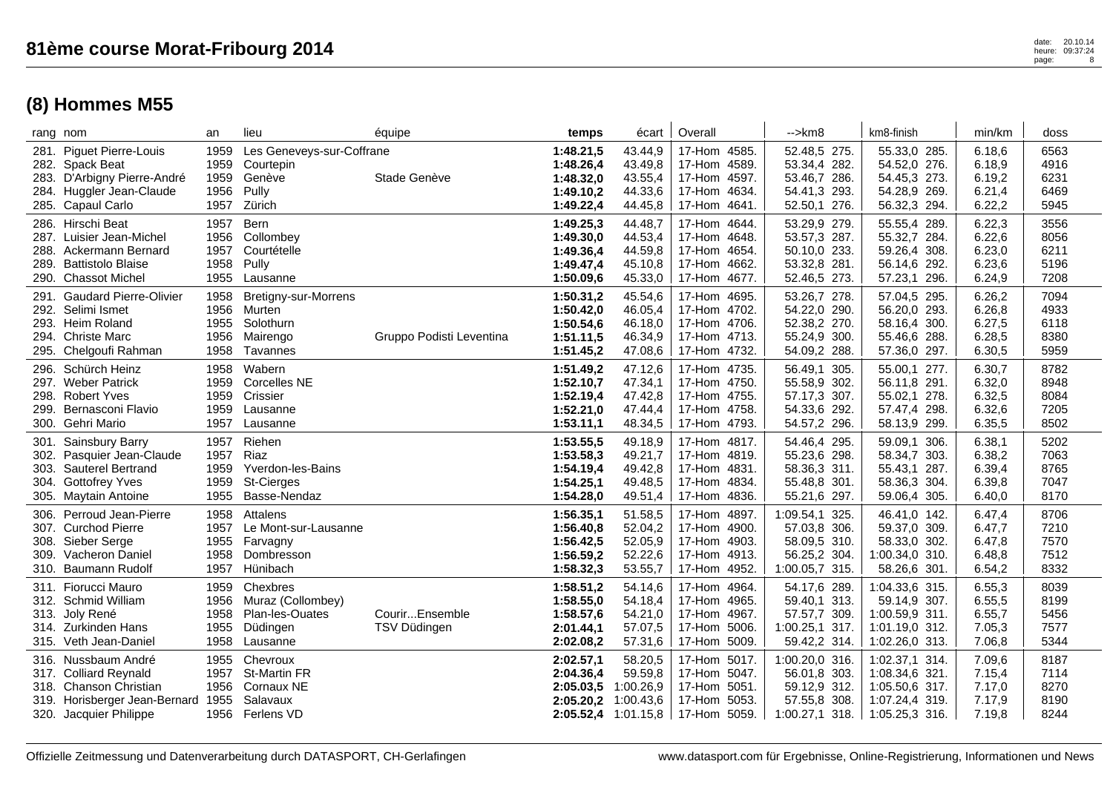|                      | rang nom                                                                                                                          | an                                   | lieu                                                                     | équipe                         | temps                                                         | écart                                                                 | Overall                                                                                 | $\rightarrow$ km $\beta$                                                         | km8-finish                                                                             | min/km                                          | doss                                 |
|----------------------|-----------------------------------------------------------------------------------------------------------------------------------|--------------------------------------|--------------------------------------------------------------------------|--------------------------------|---------------------------------------------------------------|-----------------------------------------------------------------------|-----------------------------------------------------------------------------------------|----------------------------------------------------------------------------------|----------------------------------------------------------------------------------------|-------------------------------------------------|--------------------------------------|
|                      | 281. Piguet Pierre-Louis<br>282. Spack Beat<br>283. D'Arbigny Pierre-André<br>284. Huggler Jean-Claude<br>285. Capaul Carlo       | 1959<br>1959<br>1959<br>1956<br>1957 | Les Geneveys-sur-Coffrane<br>Courtepin<br>Genève<br>Pully<br>Zürich      | Stade Genève                   | 1:48.21,5<br>1:48.26,4<br>1:48.32,0<br>1:49.10,2<br>1:49.22,4 | 43.44,9<br>43.49,8<br>43.55,4<br>44.33,6<br>44.45,8                   | 17-Hom 4585.<br>17-Hom 4589.<br>17-Hom 4597.<br>17-Hom 4634.<br>4641.<br>17-Hom         | 52.48,5 275.<br>53.34,4 282.<br>53.46,7 286.<br>54.41,3 293.<br>52.50,1 276.     | 55.33,0 285.<br>54.52,0 276.<br>54.45,3 273.<br>54.28,9 269.<br>56.32,3 294.           | 6.18.6<br>6.18,9<br>6.19,2<br>6.21,4<br>6.22,2  | 6563<br>4916<br>6231<br>6469<br>5945 |
| 289.                 | 286. Hirschi Beat<br>287. Luisier Jean-Michel<br>288. Ackermann Bernard<br><b>Battistolo Blaise</b><br>290. Chassot Michel        | 1957<br>1956<br>1957<br>1958<br>1955 | Bern<br>Collombev<br>Courtételle<br>Pully<br>Lausanne                    |                                | 1:49.25,3<br>1:49.30,0<br>1:49.36.4<br>1:49.47,4<br>1:50.09,6 | 44.48,7<br>44.53,4<br>44.59,8<br>45.10,8<br>45.33,0                   | 17-Hom 4644.<br>17-Hom 4648.<br>17-Hom 4654.<br>17-Hom 4662.<br>17-Hom<br>4677.         | 53.29,9 279.<br>53.57,3 287.<br>50.10,0 233.<br>53.32,8 281.<br>52.46,5 273.     | 55.55,4 289.<br>55.32,7 284.<br>59.26,4 308.<br>56.14,6 292.<br>57.23,1 296.           | 6.22,3<br>6.22, 6<br>6.23,0<br>6.23,6<br>6.24,9 | 3556<br>8056<br>6211<br>5196<br>7208 |
|                      | 291. Gaudard Pierre-Olivier<br>292. Selimi Ismet<br>293. Heim Roland<br>294. Christe Marc<br>295. Chelgoufi Rahman                | 1958<br>1956<br>1955<br>1956<br>1958 | Bretigny-sur-Morrens<br>Murten<br>Solothurn<br>Mairengo<br>Tavannes      | Gruppo Podisti Leventina       | 1:50.31,2<br>1:50.42,0<br>1:50.54,6<br>1:51.11,5<br>1:51.45,2 | 45.54,6<br>46.05,4<br>46.18,0<br>46.34,9<br>47.08,6                   | 17-Hom 4695.<br>17-Hom 4702.<br>17-Hom 4706.<br>17-Hom 4713.<br>17-Hom 4732.            | 53.26,7 278.<br>54.22,0 290.<br>52.38,2 270.<br>55.24,9 300.<br>54.09,2 288.     | 57.04,5 295.<br>56.20,0 293.<br>58.16,4 300.<br>55.46,6 288.<br>57.36,0 297.           | 6.26,2<br>6.26,8<br>6.27,5<br>6.28,5<br>6.30,5  | 7094<br>4933<br>6118<br>8380<br>5959 |
| 296.<br>298.<br>299. | Schürch Heinz<br>297. Weber Patrick<br><b>Robert Yves</b><br>Bernasconi Flavio<br>300. Gehri Mario                                | 1958<br>1959<br>1959<br>1959<br>1957 | Wabern<br><b>Corcelles NE</b><br>Crissier<br>Lausanne<br>Lausanne        |                                | 1:51.49,2<br>1:52.10,7<br>1:52.19,4<br>1:52.21,0<br>1:53.11,1 | 47.12,6<br>47.34,1<br>47.42,8<br>47.44,4<br>48.34,5                   | 17-Hom 4735.<br>17-Hom 4750.<br>17-Hom 4755.<br>17-Hom 4758.<br>17-Hom 4793.            | 56.49,1 305.<br>55.58,9 302.<br>57.17,3 307.<br>54.33,6 292.<br>54.57,2 296.     | 55.00,1 277.<br>56.11,8 291.<br>55.02,1 278.<br>57.47,4 298.<br>58.13,9 299.           | 6.30,7<br>6.32,0<br>6.32,5<br>6.32,6<br>6.35,5  | 8782<br>8948<br>8084<br>7205<br>8502 |
| 301.<br>304.         | Sainsbury Barry<br>302. Pasquier Jean-Claude<br>303. Sauterel Bertrand<br><b>Gottofrey Yves</b><br>305. Maytain Antoine           | 1957<br>1957<br>1959<br>1959<br>1955 | Riehen<br>Riaz<br>Yverdon-les-Bains<br><b>St-Cierges</b><br>Basse-Nendaz |                                | 1:53.55,5<br>1:53.58,3<br>1:54.19,4<br>1:54.25,1<br>1:54.28,0 | 49.18,9<br>49.21,7<br>49.42,8<br>49.48,5<br>49.51,4                   | 17-Hom<br>4817.<br>17-Hom 4819.<br>17-Hom 4831.<br>17-Hom<br>4834.<br>17-Hom 4836.      | 54.46,4 295.<br>55.23,6 298.<br>58.36,3 311.<br>55.48,8 301.<br>55.21,6 297.     | 59.09,1 306.<br>58.34,7 303.<br>55.43,1 287.<br>58.36,3 304.<br>59.06,4 305.           | 6.38,1<br>6.38,2<br>6.39,4<br>6.39,8<br>6.40,0  | 5202<br>7063<br>8765<br>7047<br>8170 |
| 306.<br>308.<br>309. | Perroud Jean-Pierre<br>307. Curchod Pierre<br>Sieber Serge<br>Vacheron Daniel<br>310. Baumann Rudolf                              | 1958<br>1957<br>1955<br>1958<br>1957 | Attalens<br>Le Mont-sur-Lausanne<br>Farvagny<br>Dombresson<br>Hünibach   |                                | 1:56.35,1<br>1:56.40.8<br>1:56.42,5<br>1:56.59,2<br>1:58.32,3 | 51.58,5<br>52.04,2<br>52.05,9<br>52.22,6<br>53.55,7                   | 4897.<br>17-Hom<br>17-Hom 4900.<br>4903.<br>17-Hom<br>17-Hom<br>4913.<br>17-Hom 4952.   | 1:09.54,1 325.<br>57.03,8 306.<br>58.09,5 310.<br>56.25,2 304.<br>1:00.05,7 315. | 46.41,0 142.<br>59.37,0 309.<br>58.33,0 302.<br>1:00.34,0<br>310.<br>58.26,6 301.      | 6.47,4<br>6.47,7<br>6.47,8<br>6.48,8<br>6.54,2  | 8706<br>7210<br>7570<br>7512<br>8332 |
| 311.                 | Fiorucci Mauro<br>312. Schmid William<br>313. Joly René<br>314. Zurkinden Hans<br>315. Veth Jean-Daniel                           | 1959<br>1956<br>1958<br>1955<br>1958 | Chexbres<br>Muraz (Collombey)<br>Plan-les-Ouates<br>Düdingen<br>Lausanne | CourirEnsemble<br>TSV Düdingen | 1:58.51,2<br>1:58.55,0<br>1:58.57,6<br>2:01.44,1<br>2:02.08,2 | 54.14,6<br>54.18,4<br>54.21,0<br>57.07,5<br>57.31,6                   | 4964.<br>17-Hom<br>17-Hom 4965.<br>17-Hom 4967.<br>5006.<br>17-Hom<br>17-Hom 5009.      | 54.17,6 289.<br>59.40,1 313.<br>57.57,7 309.<br>1:00.25,1 317.<br>59.42,2 314.   | 1:04.33,6 315.<br>59.14,9 307.<br>1:00.59,9 311.<br>1:01.19,0 312.<br>1:02.26,0 313.   | 6.55,3<br>6.55,5<br>6.55,7<br>7.05,3<br>7.06,8  | 8039<br>8199<br>5456<br>7577<br>5344 |
| 316.                 | Nussbaum André<br>317. Colliard Reynald<br>318. Chanson Christian<br>319. Horisberger Jean-Bernard 1955<br>320. Jacquier Philippe | 1955<br>1957<br>1956<br>1956         | Chevroux<br><b>St-Martin FR</b><br>Cornaux NE<br>Salavaux<br>Ferlens VD  |                                | 2:02.57,1<br>2:04.36,4<br>2:05.03,5<br>2:05.20.2              | 58.20,5<br>59.59,8<br>1:00.26,9<br>1:00.43.6<br>$2:05.52,4$ 1:01.15,8 | 17-Hom<br>5017.<br>17-Hom 5047.<br>17-Hom<br>5051.<br>5053.<br>17-Hom<br>  17-Hom 5059. | 1:00.20,0 316.<br>56.01,8 303.<br>59.12,9 312.<br>57.55,8 308.<br>1:00.27,1 318. | 1:02.37,1 314.<br>1:08.34,6 321.<br>1:05.50,6 317.<br>1:07.24,4 319.<br>1:05.25,3 316. | 7.09,6<br>7.15,4<br>7.17,0<br>7.17,9<br>7.19,8  | 8187<br>7114<br>8270<br>8190<br>8244 |